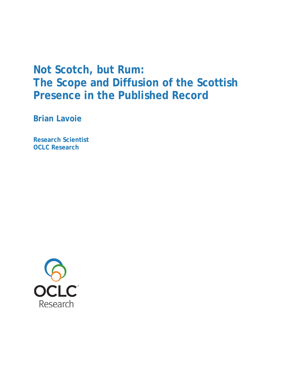# **Not Scotch, but Rum: The Scope and Diffusion of the Scottish Presence in the Published Record**

**Brian Lavoie**

**Research Scientist OCLC Research**

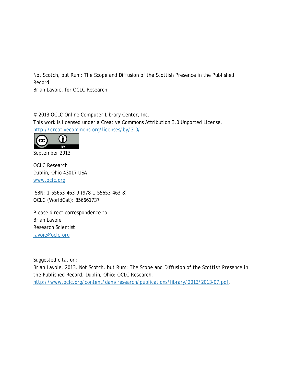Not Scotch, but Rum: The Scope and Diffusion of the Scottish Presence in the Published Record

Brian Lavoie, for OCLC Research

© 2013 OCLC Online Computer Library Center, Inc. This work is licensed under a Creative Commons Attribution 3.0 Unported License. <http://creativecommons.org/licenses/by/3.0/>



September 2013

OCLC Research Dublin, Ohio 43017 USA [www.oclc.org](http://www.oclc.org/)

ISBN: 1-55653-463-9 (978-1-55653-463-8) OCLC (WorldCat): 856661737

Please direct correspondence to: Brian Lavoie Research Scientist [lavoie@oclc.org](mailto:lavoie@oclc.org)

Suggested citation:

Brian Lavoie. 2013. *Not Scotch, but Rum: The Scope and Diffusion of the Scottish Presence in the Published Record.* Dublin, Ohio: OCLC Research. [http://www.oclc.org/content/dam/research/publications/library/2013/2013-07.pdf.](http://www.oclc.org/content/dam/research/publications/library/2013/2013-07.pdf)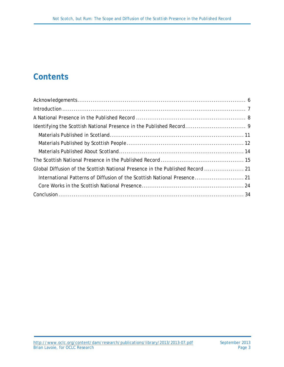## **Contents**

| Global Diffusion of the Scottish National Presence in the Published Record  21 |
|--------------------------------------------------------------------------------|
| International Patterns of Diffusion of the Scottish National Presence 21       |
|                                                                                |
|                                                                                |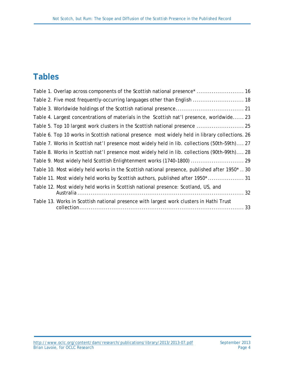## **Tables**

| Table 1. Overlap across components of the Scottish national presence*  16                       |
|-------------------------------------------------------------------------------------------------|
| Table 2. Five most frequently-occurring languages other than English  18                        |
|                                                                                                 |
| Table 4. Largest concentrations of materials in the Scottish nat'l presence, worldwide 23       |
| Table 5. Top 10 largest work clusters in the Scottish national presence  25                     |
| Table 6. Top 10 works in Scottish national presence most widely held in library collections. 26 |
| Table 7. Works in Scottish nat'l presence most widely held in lib. collections (50th-59th) 27   |
| Table 8. Works in Scottish nat'l presence most widely held in lib. collections (90th-99th) 28   |
|                                                                                                 |
| Table 10. Most widely held works in the Scottish national presence, published after 1950*  30   |
| Table 11. Most widely held works by Scottish authors, published after 1950*  31                 |
| Table 12. Most widely held works in Scottish national presence: Scotland, US, and               |
| Table 13. Works in Scottish national presence with largest work clusters in Hathi Trust         |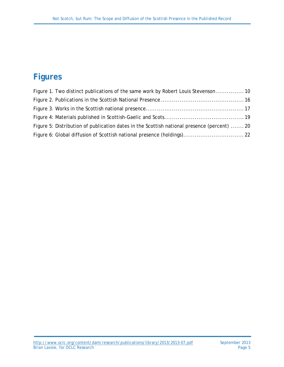## **Figures**

| Figure 1. Two distinct publications of the same work by Robert Louis Stevenson 10           |  |
|---------------------------------------------------------------------------------------------|--|
|                                                                                             |  |
|                                                                                             |  |
|                                                                                             |  |
| Figure 5: Distribution of publication dates in the Scottish national presence (percent)  20 |  |
|                                                                                             |  |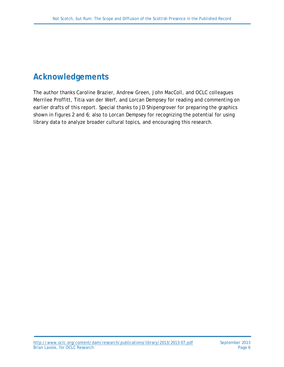## <span id="page-5-0"></span>**Acknowledgements**

The author thanks Caroline Brazier, Andrew Green, John MacColl, and OCLC colleagues Merrilee Proffitt, Titia van der Werf, and Lorcan Dempsey for reading and commenting on earlier drafts of this report. Special thanks to JD Shipengrover for preparing the graphics shown in figures 2 and 6; also to Lorcan Dempsey for recognizing the potential for using library data to analyze broader cultural topics, and encouraging this research.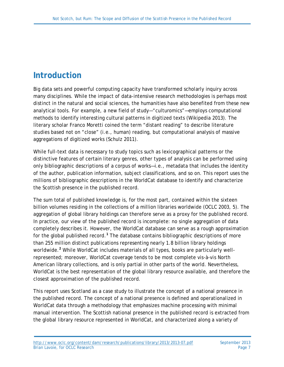## <span id="page-6-0"></span>**Introduction**

Big data sets and powerful computing capacity have transformed scholarly inquiry across many disciplines. While the impact of data-intensive research methodologies is perhaps most distinct in the natural and social sciences, the humanities have also benefited from these new analytical tools. For example, a new field of study—"culturomics"—employs computational methods to identify interesting cultural patterns in digitized texts (Wikipedia 2013). The literary scholar Franco Moretti coined the term "distant reading" to describe literature studies based not on "close" (i.e., human) reading, but computational analysis of massive aggregations of digitized works (Schulz 2011).

While full-text data is necessary to study topics such as lexicographical patterns or the distinctive features of certain literary genres, other types of analysis can be performed using only bibliographic descriptions of a corpus of works—i.e., metadata that includes the identity of the author, publication information, subject classifications, and so on. This report uses the millions of bibliographic descriptions in the WorldCat database to identify and characterize the Scottish presence in the published record.

The sum total of published knowledge is, for the most part, contained within the sixteen billion volumes residing in the collections of a million libraries worldwide (OCLC 2003, 5). The aggregation of global library holdings can therefore serve as a proxy for the published record. In practice, our view of the published record is incomplete: no single aggregation of data completely describes it. However, the WorldCat database can serve as a rough approximation for the global published record.**[1](#page-35-0)** The database contains bibliographic descriptions of more than 255 million distinct publications representing nearly 1.8 billion library holdings worldwide.**[2](#page-35-1)** While WorldCat includes materials of all types, books are particularly wellrepresented; moreover, WorldCat coverage tends to be most complete *vis-à-vis* North American library collections, and is only partial in other parts of the world. Nevertheless, WorldCat is the best representation of the global library resource available, and therefore the closest approximation of the published record.

This report uses Scotland as a case study to illustrate the concept of a national presence in the published record. The concept of a national presence is defined and operationalized in WorldCat data through a methodology that emphasizes machine processing with minimal manual intervention. The Scottish national presence in the published record is extracted from the global library resource represented in WorldCat, and characterized along a variety of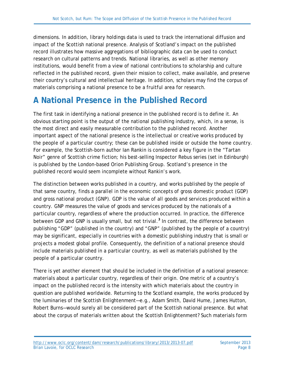dimensions. In addition, library holdings data is used to track the international diffusion and impact of the Scottish national presence. Analysis of Scotland's impact on the published record illustrates how massive aggregations of bibliographic data can be used to conduct research on cultural patterns and trends. National libraries, as well as other memory institutions, would benefit from a view of national contributions to scholarship and culture reflected in the published record, given their mission to collect, make available, and preserve their country's cultural and intellectual heritage. In addition, scholars may find the corpus of materials comprising a national presence to be a fruitful area for research.

### <span id="page-7-0"></span>**A National Presence in the Published Record**

The first task in identifying a national presence in the published record is to define it. An obvious starting point is the output of the national publishing industry, which, in a sense, is the most direct and easily measurable contribution to the published record. Another important aspect of the national presence is the intellectual or creative works produced by the people of a particular country; these can be published inside or outside the home country. For example, the Scottish-born author Ian Rankin is considered a key figure in the "Tartan Noir" genre of Scottish crime fiction; his best-selling Inspector Rebus series (set in Edinburgh) is published by the London-based Orion Publishing Group. Scotland's presence in the published record would seem incomplete without Rankin's work.

The distinction between works published in a country, and works published by the people of that same country, finds a parallel in the economic concepts of gross domestic product (GDP) and gross national product (GNP). GDP is the value of all goods and services produced within a country. GNP measures the value of goods and services produced by the nationals of a particular country, regardless of where the production occurred. In practice, the difference between GDP and GNP is usually small, but not trivial.**[3](#page-36-0)** In contrast, the difference between publishing "GDP" (published in the country) and "GNP" (published by the people of a country) may be significant, especially in countries with a domestic publishing industry that is small or projects a modest global profile. Consequently, the definition of a national presence should include materials published in a particular country, as well as materials published by the people of a particular country.

There is yet another element that should be included in the definition of a national presence: materials about a particular country, regardless of their origin. One metric of a country's impact on the published record is the intensity with which materials about the country in question are published worldwide. Returning to the Scotland example, the works produced by the luminaries of the Scottish Enlightenment—e.g., Adam Smith, David Hume, James Hutton, Robert Burns—would surely all be considered part of the Scottish national presence. But what about the corpus of materials written about the Scottish Enlightenment? Such materials form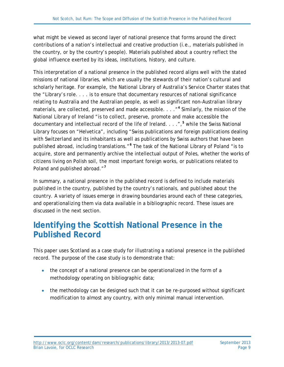what might be viewed as second layer of national presence that forms around the direct contributions of a nation's intellectual and creative production (i.e., materials published in the country, or by the country's people). Materials published about a country reflect the global influence exerted by its ideas, institutions, history, and culture.

This interpretation of a national presence in the published record aligns well with the stated missions of national libraries, which are usually the stewards of their nation's cultural and scholarly heritage. For example, the National Library of Australia's Service Charter states that the "Library's role. . . . is to ensure that documentary resources of national significance relating to Australia and the Australian people, as well as significant non-Australian library materials, are collected, preserved and made accessible. . . ."**[4](#page-37-0)** Similarly, the mission of the National Library of Ireland "is to collect, preserve, promote and make accessible the documentary and intellectual record of the life of Ireland. . . .",**[5](#page-37-1)** while the Swiss National Library focuses on "Helvetica", including "Swiss publications and foreign publications dealing with Switzerland and its inhabitants as well as publications by Swiss authors that have been published abroad, including translations."**[6](#page-37-2)** The task of the National Library of Poland "is to acquire, store and permanently archive the intellectual output of Poles, whether the works of citizens living on Polish soil, the most important foreign works, or publications related to Poland and published abroad."**[7](#page-37-3)**

In summary, a national presence in the published record is defined to include materials *published in the country, published by the country's nationals, and published about the country*. A variety of issues emerge in drawing boundaries around each of these categories, and operationalizing them via data available in a bibliographic record. These issues are discussed in the next section.

### <span id="page-8-0"></span>**Identifying the Scottish National Presence in the Published Record**

This paper uses Scotland as a case study for illustrating a national presence in the published record. The purpose of the case study is to demonstrate that:

- the concept of a national presence can be operationalized in the form of a methodology operating on bibliographic data;
- the methodology can be designed such that it can be re-purposed without significant modification to almost any country, with only minimal manual intervention.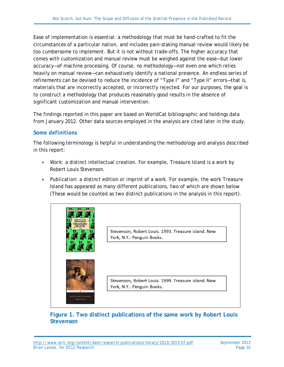Ease of implementation is essential: a methodology that must be hand-crafted to fit the circumstances of a particular nation, and includes pain-staking manual review would likely be too cumbersome to implement. But it is not without trade-offs. The higher accuracy that comes with customization and manual review must be weighed against the ease—but lower accuracy—of machine processing. Of course, no methodology—not even one which relies heavily on manual review—can exhaustively identify a national presence. An endless series of refinements can be devised to reduce the incidence of "Type I" and "Type II" errors—that is, materials that are incorrectly accepted, or incorrectly rejected. For our purposes, the goal is to construct a methodology that produces reasonably good results in the absence of significant customization and manual intervention.

The findings reported in this paper are based on WorldCat bibliographic and holdings data from January 2012. Other data sources employed in the analysis are cited later in the study.

#### *Some definitions*

The following terminology is helpful in understanding the methodology and analysis described in this report:

- *Work*: a distinct intellectual creation. For example, *Treasure Island* is a work by Robert Louis Stevenson.
- *Publication*: a distinct edition or imprint of a work. For example, the work *Treasure Island* has appeared as many different publications, two of which are shown below (These would be counted as two distinct publications in the analysis in this report).



#### <span id="page-9-0"></span>**Figure 1. Two distinct publications of the same work by Robert Louis Stevenson**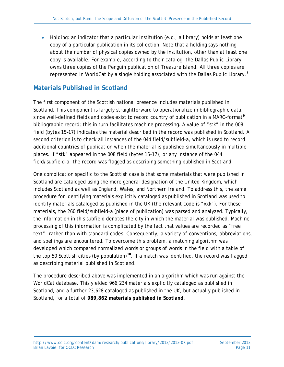• *Holding*: an indicator that a particular institution (e.g., a library) holds at least one copy of a particular publication in its collection. Note that a holding says nothing about the number of physical copies owned by the institution, other than at least one copy is available. For example, according to their catalog, the Dallas Public Library owns three copies of the Penguin publication of *Treasure Island*. All three copies are represented in WorldCat by a single holding associated with the Dallas Public Library.**[8](#page-38-0)**

#### <span id="page-10-0"></span>**Materials Published in Scotland**

The first component of the Scottish national presence includes materials published in Scotland. This component is largely straightforward to operationalize in bibliographic data, since well-defined fields and codes exist to record country of publication in a MARC-format**[9](#page-38-1)** bibliographic record; this in turn facilitates machine processing. A value of "stk" in the 008 field (bytes 15–17) indicates the material described in the record was published in Scotland. A second criterion is to check all instances of the 044 field/subfield-a, which is used to record additional countries of publication when the material is published simultaneously in multiple places. If "stk" appeared in the 008 field (bytes 15–17), or any instance of the 044 field/subfield-a, the record was flagged as describing something published in Scotland.

One complication specific to the Scottish case is that some materials that were published in Scotland are cataloged using the more general designation of the United Kingdom, which includes Scotland as well as England, Wales, and Northern Ireland. To address this, the same procedure for identifying materials explicitly cataloged as published in Scotland was used to identify materials cataloged as published in the UK (the relevant code is "xxk"). For these materials, the 260 field/subfield-a (place of publication) was parsed and analyzed. Typically, the information in this subfield denotes the city in which the material was published. Machine processing of this information is complicated by the fact that values are recorded as "free text", rather than with standard codes. Consequently, a variety of conventions, abbreviations, and spellings are encountered. To overcome this problem, a matching algorithm was developed which compared normalized words or groups of words in the field with a table of the top 50 Scottish cities (by population)**[10](#page-38-2)**. If a match was identified, the record was flagged as describing material published in Scotland.

The procedure described above was implemented in an algorithm which was run against the WorldCat database. This yielded 966,234 materials explicitly cataloged as published in Scotland, and a further 23,628 cataloged as published in the UK, but actually published in Scotland, for a total of **989,862 materials published in Scotland**.

<http://www.oclc.org/content/dam/research/publications/library/2013/2013-07.pdf> September 2013<br>Brian Lavoie, for OCLC Research Brian Lavoie, for OCLC Research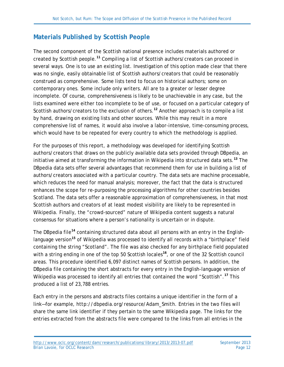#### <span id="page-11-0"></span>**Materials Published by Scottish People**

The second component of the Scottish national presence includes materials authored or created by Scottish people.**[11](#page-38-3)** Compiling a list of Scottish authors/creators can proceed in several ways. One is to use an existing list. Investigation of this option made clear that there was no single, easily obtainable list of Scottish authors/creators that could be reasonably construed as comprehensive. Some lists tend to focus on historical authors; some on contemporary ones. Some include only writers. All are to a greater or lesser degree incomplete. Of course, comprehensiveness is likely to be unachievable in any case, but the lists examined were either too incomplete to be of use, or focused on a particular category of Scottish authors/creators to the exclusion of others.**[12](#page-38-4)** Another approach is to compile a list by hand, drawing on existing lists and other sources. While this may result in a more comprehensive list of names, it would also involve a labor-intensive, time-consuming process, which would have to be repeated for every country to which the methodology is applied.

For the purposes of this report, a methodology was developed for identifying Scottish authors/creators that draws on the publicly available data sets provided through DBpedia, an initiative aimed at transforming the information in Wikipedia into structured data sets.**[13](#page-38-5)** The DBpedia data sets offer several advantages that recommend them for use in building a list of authors/creators associated with a particular country. The data sets are machine processable, which reduces the need for manual analysis; moreover, the fact that the data is structured enhances the scope for re-purposing the processing algorithms for other countries besides Scotland. The data sets offer a reasonable approximation of comprehensiveness, in that most Scottish authors and creators of at least modest visibility are likely to be represented in Wikipedia. Finally, the "crowd-sourced" nature of Wikipedia content suggests a natural consensus for situations where a person's nationality is uncertain or in dispute.

The DBpedia file**[14](#page-38-6)** containing structured data about all persons with an entry in the English-language version<sup>[15](#page-38-7)</sup> of Wikipedia was processed to identify all records with a "birthplace" field containing the string "Scotland". The file was also checked for any birthplace field populated with a string ending in one of the top 50 Scottish locales<sup>[16](#page-38-8)</sup>, or one of the 32 Scottish council areas. This procedure identified 6,097 distinct names of Scottish persons. In addition, the DBpedia file containing the short abstracts for every entry in the English-language version of Wikipedia was processed to identify all entries that contained the word "Scottish".**[17](#page-38-9)** This produced a list of 23,788 entries.

Each entry in the persons and abstracts files contains a unique identifier in the form of a link—for example, *http://dbpedia.org/resource/Adam\_Smith*. Entries in the two files will share the same link identifier if they pertain to the same Wikipedia page. The links for the entries extracted from the abstracts file were compared to the links from all entries in the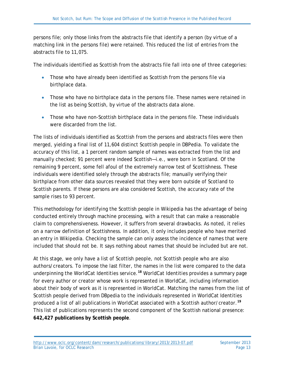persons file; only those links from the abstracts file that identify a person (by virtue of a matching link in the persons file) were retained. This reduced the list of entries from the abstracts file to 11,075.

The individuals identified as Scottish from the abstracts file fall into one of three categories:

- Those who have already been identified as Scottish from the persons file via birthplace data.
- Those who have no birthplace data in the persons file. These names were retained in the list as being Scottish, by virtue of the abstracts data alone.
- Those who have non-Scottish birthplace data in the persons file. These individuals were discarded from the list.

The lists of individuals identified as Scottish from the persons and abstracts files were then merged, yielding a final list of 11,604 distinct Scottish people in DBPedia. To validate the accuracy of this list, a 1 percent random sample of names was extracted from the list and manually checked; 91 percent were indeed Scottish—i.e., were born in Scotland. Of the remaining 9 percent, some fell afoul of the extremely narrow test of Scottishness. These individuals were identified solely through the abstracts file; manually verifying their birthplace from other data sources revealed that they were born outside of Scotland to Scottish parents. If these persons are also considered Scottish, the accuracy rate of the sample rises to 93 percent.

This methodology for identifying the Scottish people in Wikipedia has the advantage of being conducted entirely through machine processing, with a result that can make a reasonable claim to comprehensiveness. However, it suffers from several drawbacks. As noted, it relies on a narrow definition of Scottishness. In addition, it only includes people who have merited an entry in Wikipedia. Checking the sample can only assess the incidence of names that were included that should not be. It says nothing about names that should be included but are not.

At this stage, we only have a list of Scottish people, not Scottish people who are also authors/creators. To impose the last filter, the names in the list were compared to the data underpinning the WorldCat Identities service.**[18](#page-38-10)** WorldCat Identities provides a summary page for every author or creator whose work is represented in WorldCat, including information about their body of work as it is represented in WorldCat. Matching the names from the list of Scottish people derived from DBpedia to the individuals represented in WorldCat Identities produced a list of all publications in WorldCat associated with a Scottish author/creator.**[19](#page-38-11)** This list of publications represents the second component of the Scottish national presence: **642,427 publications by Scottish people**.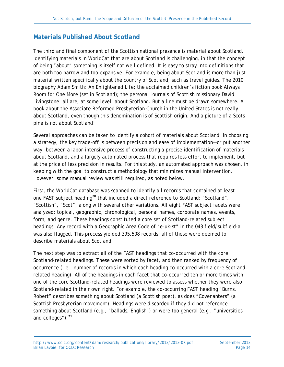#### <span id="page-13-0"></span>**Materials Published About Scotland**

The third and final component of the Scottish national presence is material about Scotland. Identifying materials in WorldCat that are about Scotland is challenging, in that the concept of being "about" something is itself not well defined. It is easy to stray into definitions that are both too narrow and too expansive. For example, being about Scotland is more than just material written specifically about the country of Scotland, such as travel guides. The 2010 biography *Adam Smith: An Enlightened Life*; the acclaimed children's fiction book *Always Room for One More* (set in Scotland); the personal journals of Scottish missionary David Livingstone: all are, at some level, about Scotland. But a line must be drawn somewhere. A book about the Associate Reformed Presbyterian Church in the United States is not really about Scotland, even though this denomination is of Scottish origin. And a picture of a Scots pine is not about Scotland!

Several approaches can be taken to identify a cohort of materials about Scotland. In choosing a strategy, the key trade-off is between precision and ease of implementation—or put another way, between a labor-intensive process of constructing a precise identification of materials about Scotland, and a largely automated process that requires less effort to implement, but at the price of less precision in results. For this study, an automated approach was chosen, in keeping with the goal to construct a methodology that minimizes manual intervention. However, some manual review was still required, as noted below.

First, the WorldCat database was scanned to identify all records that contained at least one FAST subject heading**[20](#page-38-12)** that included a direct reference to Scotland: "Scotland", "Scottish", "Scot", along with several other variations. All eight FAST subject facets were analyzed: topical, geographic, chronological, personal names, corporate names, events, form, and genre. These headings constituted a core set of Scotland-related subject headings. Any record with a Geographic Area Code of "e-uk-st" in the 043 field/subfield-a was also flagged. This process yielded 395,508 records; all of these were deemed to describe materials about Scotland.

The next step was to extract all of the FAST headings that co-occurred with the core Scotland-related headings. These were sorted by facet, and then ranked by frequency of occurrence (i.e., number of records in which each heading co-occurred with a core Scotlandrelated heading). All of the headings in each facet that co-occurred ten or more times with one of the core Scotland-related headings were reviewed to assess whether they were also Scotland-related in their own right. For example, the co-occurring FAST heading "Burns, Robert" describes something about Scotland (a Scottish poet), as does "Covenanters" (a Scottish Presbyterian movement). Headings were discarded if they did not reference something about Scotland (e.g., "ballads, English") or were too general (e.g., "universities and colleges").**[21](#page-38-13)**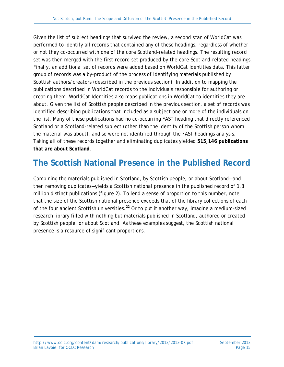Given the list of subject headings that survived the review, a second scan of WorldCat was performed to identify all records that contained any of these headings, regardless of whether or not they co-occurred with one of the core Scotland-related headings. The resulting record set was then merged with the first record set produced by the core Scotland-related headings. Finally, an additional set of records were added based on WorldCat Identities data. This latter group of records was a by-product of the process of identifying materials published by Scottish authors/creators (described in the previous section). In addition to mapping the publications described in WorldCat records to the individuals responsible for authoring or creating them, WorldCat Identities also maps publications in WorldCat to identities they are about. Given the list of Scottish people described in the previous section, a set of records was identified describing publications that included as a subject one or more of the individuals on the list. Many of these publications had no co-occurring FAST heading that directly referenced Scotland or a Scotland-related subject (other than the identity of the Scottish person whom the material was about), and so were not identified through the FAST headings analysis. Taking all of these records together and eliminating duplicates yielded **515,146 publications that are about Scotland**.

## <span id="page-14-0"></span>**The Scottish National Presence in the Published Record**

Combining the materials published in Scotland, by Scottish people, or about Scotland—and then removing duplicates—yields a Scottish national presence in the published record of 1.8 million distinct publications (figure 2). To lend a sense of proportion to this number, note that the size of the Scottish national presence exceeds that of the library collections of each of the four ancient Scottish universities.**[22](#page-38-14)** Or to put it another way, imagine a medium-sized research library filled with nothing but materials published in Scotland, authored or created by Scottish people, or about Scotland. As these examples suggest, the Scottish national presence is a resource of significant proportions.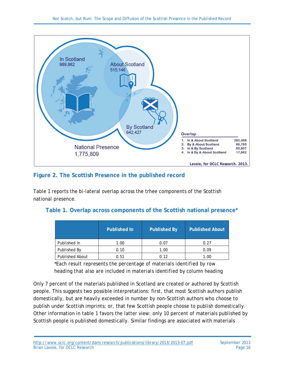

#### <span id="page-15-1"></span>**Figure 2. The Scottish Presence in the published record**

Table 1 reports the bi-lateral overlap across the trhee components of the Scottish national presence.

#### <span id="page-15-0"></span>**Table 1. Overlap across components of the Scottish national presence\***

|                        | <b>Published By</b><br><b>Published In</b> |      | <b>Published About</b> |  |
|------------------------|--------------------------------------------|------|------------------------|--|
| Published In           | 1.00                                       | 0.07 | 0.27                   |  |
| Published By<br>0.10   |                                            | 1.00 | 0.09                   |  |
| <b>Published About</b> | 0.51                                       | 0.12 | 1.00                   |  |

*\*Each result represents the percentage of materials identified by row heading that also are included in materials identified by column heading*

Only 7 percent of the materials published in Scotland are created or authored by Scottish people. This suggests two possible interpretations: first, that most Scottish authors publish domestically, but are heavily exceeded in number by non-Scottish authors who choose to publish under Scottish imprints; or, that few Scottish people choose to publish domestically. Other information in table 1 favors the latter view: only 10 percent of materials published by Scottish people is published domestically. Similar findings are associated with materials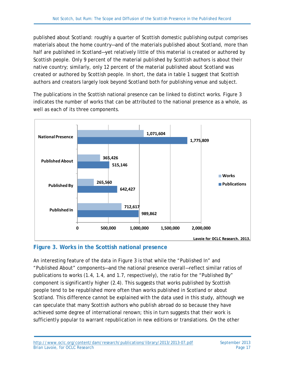published about Scotland: roughly a quarter of Scottish domestic publishing output comprises materials about the home country—and of the materials published about Scotland, more than half are published in Scotland—yet relatively little of this material is created or authored by Scottish people. Only 9 percent of the material published by Scottish authors is about their native country; similarly, only 12 percent of the material published about Scotland was created or authored by Scottish people. In short, the data in table 1 suggest that Scottish authors and creators largely look beyond Scotland both for publishing venue and subject.

The publications in the Scottish national presence can be linked to distinct works. Figure 3 indicates the number of works that can be attributed to the national presence as a whole, as well as each of its three components.



#### <span id="page-16-0"></span>**Figure 3. Works in the Scottish national presence**

An interesting feature of the data in Figure 3 is that while the "Published In" and "Published About" components—and the national presence overall—reflect similar ratios of publications to works (1.4, 1.4, and 1.7, respectively), the ratio for the "Published By" component is significantly higher (2.4). This suggests that works published by Scottish people tend to be republished more often than works published in Scotland or about Scotland. This difference cannot be explained with the data used in this study, although we can speculate that many Scottish authors who publish abroad do so because they have achieved some degree of international renown; this in turn suggests that their work is sufficiently popular to warrant republication in new editions or translations. On the other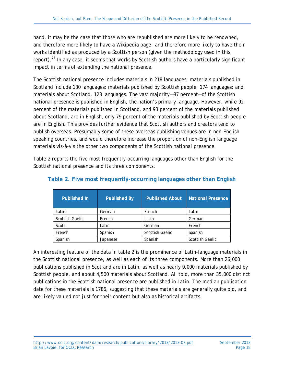hand, it may be the case that those who are republished are more likely to be renowned, and therefore more likely to have a Wikipedia page—and therefore more likely to have their works identified as produced by a Scottish person (given the methodology used in this report).**[23](#page-38-15)** In any case, it seems that works by Scottish authors have a particularly significant impact in terms of extending the national presence.

The Scottish national presence includes materials in 218 languages; materials published in Scotland include 130 languages; materials published by Scottish people, 174 languages; and materials about Scotland, 123 languages. The vast majority—87 percent—of the Scottish national presence is published in English, the nation's primary language. However, while 92 percent of the materials published in Scotland, and 93 percent of the materials published about Scotland, are in English, only 79 percent of the materials published by Scottish people are in English. This provides further evidence that Scottish authors and creators tend to publish overseas. Presumably some of these overseas publishing venues are in non-English speaking countries, and would therefore increase the proportion of non-English language materials *vis-à-vis* the other two components of the Scottish national presence.

Table 2 reports the five most frequently-occurring languages other than English for the Scottish national presence and its three components.

| <b>Published In</b>    | <b>Published By</b> | <b>Published About</b> | <b>National Presence</b> |
|------------------------|---------------------|------------------------|--------------------------|
| Latin                  | German              | French                 | Latin                    |
| <b>Scottish Gaelic</b> | French<br>Latin     |                        | German                   |
| Scots                  | Latin               | German                 | French                   |
| French                 | Spanish             | <b>Scottish Gaelic</b> | Spanish                  |
| Spanish                | Japanese            | Spanish                | <b>Scottish Gaelic</b>   |

#### <span id="page-17-0"></span>**Table 2. Five most frequently-occurring languages other than English**

An interesting feature of the data in table 2 is the prominence of Latin-language materials in the Scottish national presence, as well as each of its three components. More than 26,000 publications published in Scotland are in Latin, as well as nearly 9,000 materials published by Scottish people, and about 4,500 materials about Scotland. All told, more than 35,000 distinct publications in the Scottish national presence are published in Latin. The median publication date for these materials is 1786, suggesting that these materials are generally quite old, and are likely valued not just for their content but also as historical artifacts.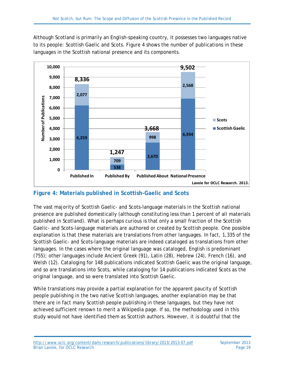Although Scotland is primarily an English-speaking country, it possesses two languages native to its people: Scottish Gaelic and Scots. Figure 4 shows the number of publications in these languages in the Scottish national presence and its components.



#### <span id="page-18-0"></span>**Figure 4: Materials published in Scottish-Gaelic and Scots**

The vast majority of Scottish Gaelic- and Scots-language materials in the Scottish national presence are published domestically (although constituting less than 1 percent of all materials published in Scotland). What is perhaps curious is that only a small fraction of the Scottish Gaelic- and Scots-language materials are authored or created by Scottish people. One possible explanation is that these materials are translations from other languages. In fact, 1,335 of the Scottish Gaelic- and Scots-language materials are indeed cataloged as translations from other languages. In the cases where the original language was cataloged, English is predominant (755); other languages include Ancient Greek (91), Latin (28), Hebrew (24), French (16), and Welsh (12). Cataloging for 148 publications indicated Scottish Gaelic was the original language, and so are translations into Scots, while cataloging for 14 publications indicated Scots as the original language, and so were translated into Scottish Gaelic.

While translations may provide a partial explanation for the apparent paucity of Scottish people publishing in the two native Scottish languages, another explanation may be that there are in fact many Scottish people publishing in these languages, but they have not achieved sufficient renown to merit a Wikipedia page. If so, the methodology used in this study would not have identified them as Scottish authors. However, it is doubtful that the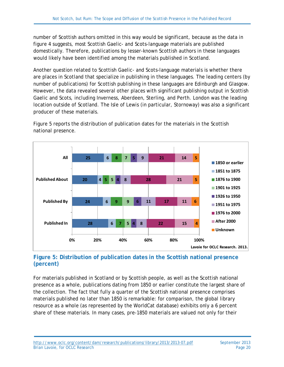number of Scottish authors omitted in this way would be significant, because as the data in figure 4 suggests, most Scottish Gaelic- and Scots-language materials are published domestically. Therefore, publications by lesser-known Scottish authors in these languages would likely have been identified among the materials published in Scotland.

Another question related to Scottish Gaelic- and Scots-language materials is whether there are places in Scotland that specialize in publishing in these languages. The leading centers (by number of publications) for Scottish publishing in these languages are Edinburgh and Glasgow. However, the data revealed several other places with significant publishing output in Scottish Gaelic and Scots, including Inverness, Aberdeen, Sterling, and Perth. London was the leading location outside of Scotland. The Isle of Lewis (in particular, Stornoway) was also a significant producer of these materials.



Figure 5 reports the distribution of publication dates for the materials in the Scottish national presence.

#### <span id="page-19-0"></span>**Figure 5: Distribution of publication dates in the Scottish national presence (percent)**

For materials published in Scotland or by Scottish people, as well as the Scottish national presence as a whole, publications dating from 1850 or earlier constitute the largest share of the collection. The fact that fully a quarter of the Scottish national presence comprises materials published no later than 1850 is remarkable: for comparison, the global library resource as a whole (as represented by the WorldCat database) exhibits only a 6 percent share of these materials. In many cases, pre-1850 materials are valued not only for their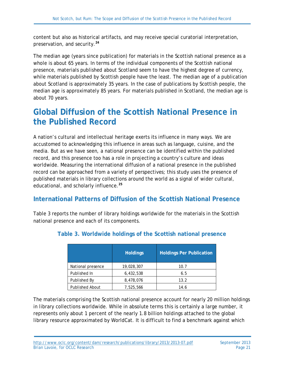content but also as historical artifacts, and may receive special curatorial interpretation, preservation, and security.**[24](#page-38-16)**

The median age (years since publication) for materials in the Scottish national presence as a whole is about 65 years. In terms of the individual components of the Scottish national presence, materials published about Scotland seem to have the highest degree of currency, while materials published by Scottish people have the least. The median age of a publication about Scotland is approximately 35 years. In the case of publications by Scottish people, the median age is approximately 85 years. For materials published in Scotland, the median age is about 70 years.

### <span id="page-20-0"></span>**Global Diffusion of the Scottish National Presence in the Published Record**

A nation's cultural and intellectual heritage exerts its influence in many ways. We are accustomed to acknowledging this influence in areas such as language, cuisine, and the media. But as we have seen, a national presence can be identified within the published record, and this presence too has a role in projecting a country's culture and ideas worldwide. Measuring the international diffusion of a national presence in the published record can be approached from a variety of perspectives; this study uses the presence of published materials in library collections around the world as a signal of wider cultural, educational, and scholarly influence.**[25](#page-38-17)**

#### <span id="page-20-1"></span>**International Patterns of Diffusion of the Scottish National Presence**

<span id="page-20-2"></span>Table 3 reports the number of library holdings worldwide for the materials in the Scottish national presence and each of its components.

|                        | <b>Holdings</b> | <b>Holdings Per Publication</b> |
|------------------------|-----------------|---------------------------------|
| National presence      | 19,028,307      | 10.7                            |
| Published In           | 6,432,538       | 6.5                             |
| Published By           | 8,478,076       | 13.2                            |
| <b>Published About</b> | 7,525,566       | 14.6                            |

#### **Table 3. Worldwide holdings of the Scottish national presence**

The materials comprising the Scottish national presence account for nearly 20 million holdings in library collections worldwide. While in absolute terms this is certainly a large number, it represents only about 1 percent of the nearly 1.8 billion holdings attached to the global library resource approximated by WorldCat. It is difficult to find a benchmark against which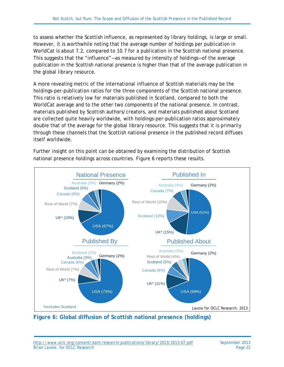to assess whether the Scottish influence, as represented by library holdings, is large or small. However, it is worthwhile noting that the average number of holdings per publication in WorldCat is about 7.2, compared to 10.7 for a publication in the Scottish national presence. This suggests that the "influence"—as measured by intensity of holdings—of the average publication in the Scottish national presence is higher than that of the average publication in the global library resource.

A more revealing metric of the international influence of Scottish materials may be the holdings-per-publication ratios for the three components of the Scottish national presence. This ratio is relatively low for materials published in Scotland, compared to both the WorldCat average and to the other two components of the national presence. In contrast, materials published by Scottish authors/creators, and materials published about Scotland are collected quite heavily worldwide, with holdings-per-publication ratios approximately double that of the average for the global library resource. This suggests that it is primarily through these channels that the Scottish national presence in the published record diffuses itself worldwide.

Further insight on this point can be obtained by examining the distribution of Scottish national presence holdings across countries. Figure 6 reports these results.



<span id="page-21-0"></span>**Figure 6: Global diffusion of Scottish national presence (holdings)**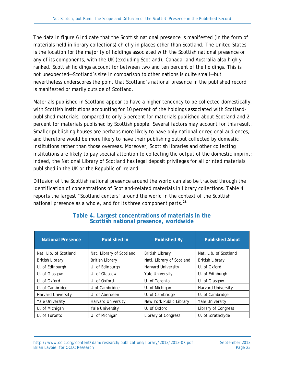The data in figure 6 indicate that the Scottish national presence is manifested (in the form of materials held in library collections) chiefly in places other than Scotland. The United States is the location for the majority of holdings associated with the Scottish national presence or any of its components, with the UK (excluding Scotland), Canada, and Australia also highly ranked. Scottish holdings account for between two and ten percent of the holdings. This is not unexpected—Scotland's size in comparison to other nations is quite small—but nevertheless underscores the point that Scotland's national presence in the published record is manifested primarily outside of Scotland.

Materials published in Scotland appear to have a higher tendency to be collected domestically, with Scottish institutions accounting for 10 percent of the holdings associated with Scotlandpublished materials, compared to only 5 percent for materials published about Scotland and 2 percent for materials published by Scottish people. Several factors may account for this result. Smaller publishing houses are perhaps more likely to have only national or regional audiences, and therefore would be more likely to have their publishing output collected by domestic institutions rather than those overseas. Moreover, Scottish libraries and other collecting institutions are likely to pay special attention to collecting the output of the domestic imprint; indeed, the National Library of Scotland has legal deposit privileges for all printed materials published in the UK or the Republic of Ireland.

Diffusion of the Scottish national presence around the world can also be tracked through the identification of concentrations of Scotland-related materials in library collections. Table 4 reports the largest "Scotland centers" around the world in the context of the Scottish national presence as a whole, and for its three component parts.**[26](#page-38-3)**

<span id="page-22-0"></span>

| <b>National Presence</b>  | <b>Published In</b>       | <b>Published By</b>       | <b>Published About</b>    |
|---------------------------|---------------------------|---------------------------|---------------------------|
| Nat. Lib. of Scotland     | Nat. Library of Scotland  | <b>British Library</b>    | Nat. Lib. of Scotland     |
| <b>British Library</b>    | <b>British Library</b>    | Natl. Library of Scotland | <b>British Library</b>    |
| U. of Edinburgh           | U. of Edinburgh           | <b>Harvard University</b> | U. of Oxford              |
| U. of Glasgow             | U. of Glasgow             | Yale University           | U. of Edinburgh           |
| U. of Oxford              | U. of Oxford              | U. of Toronto             | U. of Glasgow             |
| U. of Cambridge           | U of Cambridge            | U. of Michigan            | <b>Harvard University</b> |
| <b>Harvard University</b> | U. of Aberdeen            | U. of Cambridge           | U. of Cambridge           |
| <b>Yale University</b>    | <b>Harvard University</b> | New York Public Library   | <b>Yale University</b>    |
| U. of Michigan            | Yale University           | U. of Oxford              | Library of Congress       |
| U. of Toronto             | U. of Michigan            | Library of Congress       | U. of Strathclyde         |

#### **Table 4. Largest concentrations of materials in the Scottish national presence, worldwide**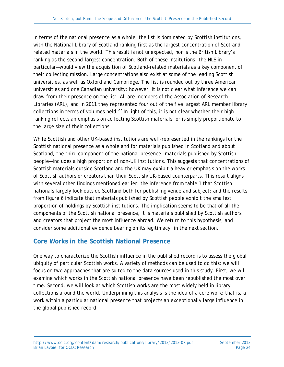In terms of the national presence as a whole, the list is dominated by Scottish institutions, with the National Library of Scotland ranking first as the largest concentration of Scotlandrelated materials in the world. This result is not unexpected, nor is the British Library's ranking as the second-largest concentration. Both of these institutions—the NLS in particular—would view the acquisition of Scotland-related materials as a key component of their collecting mission. Large concentrations also exist at some of the leading Scottish universities, as well as Oxford and Cambridge. The list is rounded out by three American universities and one Canadian university; however, it is not clear what inference we can draw from their presence on the list. All are members of the Association of Research Libraries (ARL), and in 2011 they represented four out of the five largest ARL member library collections in terms of volumes held.**[27](#page-38-18)** In light of this, it is not clear whether their high ranking reflects an emphasis on collecting Scottish materials, or is simply proportionate to the large size of their collections.

While Scottish and other UK-based institutions are well-represented in the rankings for the Scottish national presence as a whole and for materials published in Scotland and about Scotland, the third component of the national presence—materials published by Scottish people—includes a high proportion of non-UK institutions. This suggests that concentrations of Scottish materials outside Scotland and the UK may exhibit a heavier emphasis on the works of Scottish authors or creators than their Scottish/UK-based counterparts. This result aligns with several other findings mentioned earlier: the inference from table 1 that Scottish nationals largely look outside Scotland both for publishing venue and subject; and the results from figure 6 indicate that materials published by Scottish people exhibit the smallest proportion of holdings by Scottish institutions. The implication seems to be that of all the components of the Scottish national presence, it is materials published by Scottish authors and creators that project the most influence abroad. We return to this hypothesis, and consider some additional evidence bearing on its legitimacy, in the next section.

#### <span id="page-23-0"></span>**Core Works in the Scottish National Presence**

One way to characterize the Scottish influence in the published record is to assess the global ubiquity of particular Scottish works. A variety of methods can be used to do this; we will focus on two approaches that are suited to the data sources used in this study. First, we will examine which works in the Scottish national presence have been republished the most over time. Second, we will look at which Scottish works are the most widely held in library collections around the world. Underpinning this analysis is the idea of a core work: that is, a work within a particular national presence that projects an exceptionally large influence in the global published record.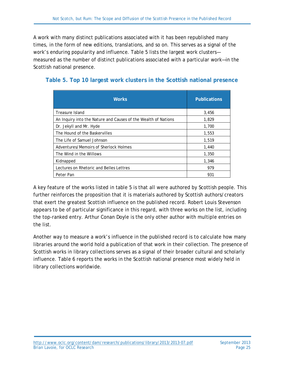A work with many distinct publications associated with it has been republished many times, in the form of new editions, translations, and so on. This serves as a signal of the work's enduring popularity and influence. Table 5 lists the largest work clusters measured as the number of distinct publications associated with a particular work—in the Scottish national presence.

| <b>Works</b>                                                   | <b>Publications</b> |
|----------------------------------------------------------------|---------------------|
| Treasure Island                                                | 3,456               |
| An Inquiry into the Nature and Causes of the Wealth of Nations | 1,829               |
| Dr. Jekyll and Mr. Hyde                                        | 1,700               |
| The Hound of the Baskervilles                                  | 1,553               |
| The Life of Samuel Johnson                                     | 1,519               |
| Adventures/Memoirs of Sherlock Holmes                          | 1,440               |
| The Wind in the Willows                                        | 1,350               |
| Kidnapped                                                      | 1,346               |
| Lectures on Rhetoric and Belles Lettres                        | 979                 |
| Peter Pan                                                      | 931                 |

#### <span id="page-24-0"></span>**Table 5. Top 10 largest work clusters in the Scottish national presence**

A key feature of the works listed in table 5 is that all were authored by Scottish people. This further reinforces the proposition that it is materials authored by Scottish authors/creators that exert the greatest Scottish influence on the published record. Robert Louis Stevenson appears to be of particular significance in this regard, with three works on the list, including the top-ranked entry. Arthur Conan Doyle is the only other author with multiple entries on the list.

Another way to measure a work's influence in the published record is to calculate how many libraries around the world hold a publication of that work in their collection. The presence of Scottish works in library collections serves as a signal of their broader cultural and scholarly influence. Table 6 reports the works in the Scottish national presence most widely held in library collections worldwide.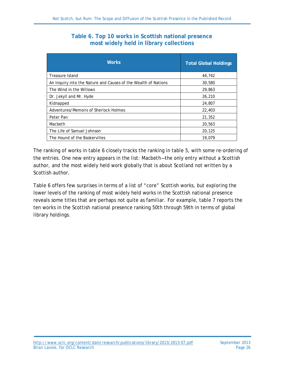#### **Table 6. Top 10 works in Scottish national presence most widely held in library collections**

<span id="page-25-0"></span>

| <b>Works</b>                                                   | <b>Total Global Holdings</b> |
|----------------------------------------------------------------|------------------------------|
| <b>Treasure Island</b>                                         | 44,742                       |
| An Inquiry into the Nature and Causes of the Wealth of Nations | 30,580                       |
| The Wind in the Willows                                        | 29,863                       |
| Dr. Jekyll and Mr. Hyde                                        | 26,210                       |
| Kidnapped                                                      | 24,807                       |
| Adventures/Memoirs of Sherlock Holmes                          | 22,403                       |
| Peter Pan                                                      | 21,352                       |
| Macbeth                                                        | 20,563                       |
| The Life of Samuel Johnson                                     | 20,125                       |
| The Hound of the Baskervilles                                  | 19,079                       |

The ranking of works in table 6 closely tracks the ranking in table 5, with some re-ordering of the entries. One new entry appears in the list: *Macbeth*—the only entry without a Scottish author, and the most widely held work globally that is about Scotland not written by a Scottish author.

Table 6 offers few surprises in terms of a list of "core" Scottish works, but exploring the lower levels of the ranking of most widely held works in the Scottish national presence reveals some titles that are perhaps not quite as familiar. For example, table 7 reports the ten works in the Scottish national presence ranking 50th through 59th in terms of global library holdings.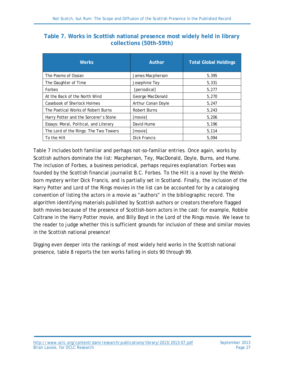<span id="page-26-0"></span>

| Table 7. Works in Scottish national presence most widely held in library |  |                         |  |  |  |
|--------------------------------------------------------------------------|--|-------------------------|--|--|--|
|                                                                          |  | collections (50th-59th) |  |  |  |

| <b>Works</b>                           | Author              | <b>Total Global Holdings</b> |
|----------------------------------------|---------------------|------------------------------|
| The Poems of Ossian                    | James Macpherson    | 5,395                        |
| The Daughter of Time                   | Josephine Tey       | 5,331                        |
| <b>Forbes</b>                          | [periodical]        | 5,277                        |
| At the Back of the North Wind          | George MacDonald    | 5,270                        |
| Casebook of Sherlock Holmes            | Arthur Conan Doyle  | 5.247                        |
| The Poetical Works of Robert Burns     | Robert Burns        | 5,243                        |
| Harry Potter and the Sorcerer's Stone  | [movie]             | 5,206                        |
| Essays: Moral, Political, and Literary | David Hume          | 5,196                        |
| The Lord of the Rings: The Two Towers  | [movie]             | 5,114                        |
| To the Hilt                            | <b>Dick Francis</b> | 5.094                        |

Table 7 includes both familiar and perhaps not-so-familiar entries. Once again, works by Scottish authors dominate the list: Macpherson, Tey, MacDonald, Doyle, Burns, and Hume. The inclusion of Forbes, a business periodical, perhaps requires explanation: Forbes was founded by the Scottish financial journalist B.C. Forbes. *To the Hilt* is a novel by the Welshborn mystery writer Dick Francis, and is partially set in Scotland. Finally, the inclusion of the Harry Potter and Lord of the Rings movies in the list can be accounted for by a cataloging convention of listing the actors in a movie as "authors" in the bibliographic record. The algorithm identifying materials published by Scottish authors or creators therefore flagged both movies because of the presence of Scottish-born actors in the cast: for example, Robbie Coltrane in the Harry Potter movie, and Billy Boyd in the Lord of the Rings movie. We leave to the reader to judge whether this is sufficient grounds for inclusion of these and similar movies in the Scottish national presence!

Digging even deeper into the rankings of most widely held works in the Scottish national presence, table 8 reports the ten works falling in slots 90 through 99.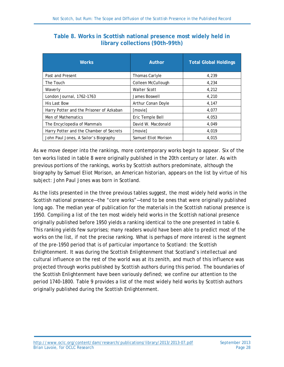| <b>Works</b>                             | Author               | <b>Total Global Holdings</b> |
|------------------------------------------|----------------------|------------------------------|
| Past and Present                         | Thomas Carlyle       | 4,239                        |
| The Touch                                | Colleen McCullough   | 4,234                        |
| Waverly                                  | <b>Walter Scott</b>  | 4,212                        |
| London Journal, 1762-1763                | James Boswell        | 4,210                        |
| <b>His Last Bow</b>                      | Arthur Conan Doyle   | 4,147                        |
| Harry Potter and the Prisoner of Azkaban | [movie]              | 4,077                        |
| Men of Mathematics                       | Eric Temple Bell     | 4,053                        |
| The Encyclopedia of Mammals              | David W. Macdonald   | 4,049                        |
| Harry Potter and the Chamber of Secrets  | [movie]              | 4,019                        |
| John Paul Jones, A Sailor's Biography    | Samuel Eliot Morison | 4,015                        |

#### <span id="page-27-0"></span>**Table 8. Works in Scottish national presence most widely held in library collections (90th–99th)**

As we move deeper into the rankings, more contemporary works begin to appear. Six of the ten works listed in table 8 were originally published in the 20th century or later. As with previous portions of the rankings, works by Scottish authors predominate, although the biography by Samuel Eliot Morison, an American historian, appears on the list by virtue of his subject: John Paul Jones was born in Scotland.

As the lists presented in the three previous tables suggest, the most widely held works in the Scottish national presence—the "core works"—tend to be ones that were originally published long ago. The median year of publication for the materials in the Scottish national presence is 1950. Compiling a list of the ten most widely held works in the Scottish national presence originally published before 1950 yields a ranking identical to the one presented in table 6. This ranking yields few surprises; many readers would have been able to predict most of the works on the list, if not the precise ranking. What is perhaps of more interest is the segment of the pre-1950 period that is of particular importance to Scotland: the Scottish Enlightenment. It was during the Scottish Enlightenment that Scotland's intellectual and cultural influence on the rest of the world was at its zenith, and much of this influence was projected through works published by Scottish authors during this period. The boundaries of the Scottish Enlightenment have been variously defined; we confine our attention to the period 1740–1800. Table 9 provides a list of the most widely held works by Scottish authors originally published during the Scottish Enlightenment.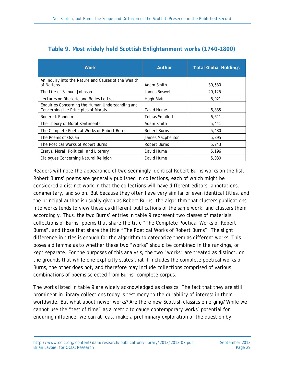<span id="page-28-0"></span>

| <b>Work</b>                                                                             | <b>Author</b>          | <b>Total Global Holdings</b> |
|-----------------------------------------------------------------------------------------|------------------------|------------------------------|
| An Inquiry into the Nature and Causes of the Wealth<br>of Nations                       | Adam Smith             | 30,580                       |
| The Life of Samuel Johnson                                                              | James Boswell          | 20,125                       |
| Lectures on Rhetoric and Belles Lettres                                                 | Hugh Blair             | 8,921                        |
| Enquiries Concerning the Human Understanding and<br>Concerning the Principles of Morals | David Hume             | 6,835                        |
| Roderick Random                                                                         | <b>Tobias Smollett</b> | 6,611                        |
| The Theory of Moral Sentiments                                                          | Adam Smith             | 5,441                        |
| The Complete Poetical Works of Robert Burns                                             | Robert Burns           | 5,430                        |
| The Poems of Ossian                                                                     | James Macpherson       | 5,395                        |
| The Poetical Works of Robert Burns                                                      | <b>Robert Burns</b>    | 5,243                        |
| Essays, Moral, Political, and Literary                                                  | David Hume             | 5,196                        |
| Dialogues Concerning Natural Religion                                                   | David Hume             | 5,030                        |

#### **Table 9. Most widely held Scottish Enlightenment works (1740–1800)**

Readers will note the appearance of two seemingly identical Robert Burns works on the list. Robert Burns' poems are generally published in collections, each of which might be considered a distinct work in that the collections will have different editors, annotations, commentary, and so on. But because they often have very similar or even identical titles, and the principal author is usually given as Robert Burns, the algorithm that clusters publications into works tends to view these as different publications of the same work, and clusters them accordingly. Thus, the two Burns' entries in table 9 represent two classes of materials: collections of Burns' poems that share the title "The Complete Poetical Works of Robert Burns", and those that share the title "The Poetical Works of Robert Burns". The slight difference in titles is enough for the algorithm to categorize them as different works. This poses a dilemma as to whether these two "works" should be combined in the rankings, or kept separate. For the purposes of this analysis, the two "works" are treated as distinct, on the grounds that while one explicitly states that it includes the complete poetical works of Burns, the other does not, and therefore may include collections comprised of various combinations of poems selected from Burns' complete corpus.

The works listed in table 9 are widely acknowledged as classics. The fact that they are still prominent in library collections today is testimony to the durability of interest in them worldwide. But what about newer works? Are there new Scottish classics emerging? While we cannot use the "test of time" as a metric to gauge contemporary works' potential for enduring influence, we can at least make a preliminary exploration of the question by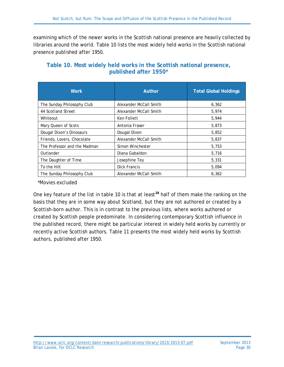examining which of the newer works in the Scottish national presence are heavily collected by libraries around the world. Table 10 lists the most widely held works in the Scottish national presence published after 1950.

| <b>Work</b>                  | Author                 | <b>Total Global Holdings</b> |
|------------------------------|------------------------|------------------------------|
| The Sunday Philosophy Club   | Alexander McCall Smith | 6,362                        |
| 44 Scotland Street           | Alexander McCall Smith | 5,974                        |
| Whiteout                     | <b>Ken Follett</b>     | 5,944                        |
| Mary Queen of Scots          | Antonia Fraser         | 5,873                        |
| Dougal Dixon's Dinosaurs     | Dougal Dixon           | 5,852                        |
| Friends, Lovers, Chocolate   | Alexander McCall Smith | 5,837                        |
| The Professor and the Madman | Simon Winchester       | 5,753                        |
| Outlander                    | Diana Gabaldon         | 5.716                        |
| The Daughter of Time         | Josephine Tey          | 5,331                        |
| To the Hilt                  | <b>Dick Francis</b>    | 5,094                        |
| The Sunday Philosophy Club   | Alexander McCall Smith | 6.362                        |

#### <span id="page-29-0"></span>**Table 10. Most widely held works in the Scottish national presence, published after 1950\***

*\*Movies excluded*

One key feature of the list in table 10 is that at least**[28](#page-38-19)** half of them make the ranking on the basis that they are in some way about Scotland, but they are not authored or created by a Scottish-born author. This is in contrast to the previous lists, where works authored or created by Scottish people predominate. In considering contemporary Scottish influence in the published record, there might be particular interest in widely held works by currently or recently active Scottish authors. Table 11 presents the most widely held works by Scottish authors, published after 1950.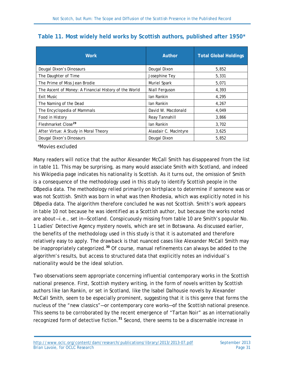<span id="page-30-0"></span>

|  |  |  |  |  |  |  |  | Table 11. Most widely held works by Scottish authors, published after 1950* |  |  |
|--|--|--|--|--|--|--|--|-----------------------------------------------------------------------------|--|--|
|--|--|--|--|--|--|--|--|-----------------------------------------------------------------------------|--|--|

| <b>Work</b>                                           | <b>Author</b>         | <b>Total Global Holdings</b> |
|-------------------------------------------------------|-----------------------|------------------------------|
| Dougal Dixon's Dinosaurs                              | Dougal Dixon          | 5,852                        |
| The Daughter of Time                                  | Josephine Tey         | 5,331                        |
| The Prime of Miss Jean Brodie                         | Muriel Spark          | 5,071                        |
| The Ascent of Money: A Financial History of the World | Niall Ferguson        | 4,393                        |
| <b>Exit Music</b>                                     | Ian Rankin            | 4,295                        |
| The Naming of the Dead                                | Ian Rankin            | 4,267                        |
| The Encyclopedia of Mammals                           | David W. Macdonald    | 4,049                        |
| Food in History                                       | Reay Tannahill        | 3,866                        |
| Fleshmarket Close <sup>29</sup>                       | Ian Rankin            | 3,702                        |
| After Virtue: A Study in Moral Theory                 | Alasdair C. MacIntyre | 3,625                        |
| Dougal Dixon's Dinosaurs                              | Dougal Dixon          | 5,852                        |

*\*Movies excluded*

Many readers will notice that the author Alexander McCall Smith has disappeared from the list in table 11. This may be surprising, as many would associate Smith with Scotland, and indeed his Wikipedia page indicates his nationality is Scottish. As it turns out, the omission of Smith is a consequence of the methodology used in this study to identify Scottish people in the DBpedia data. The methodology relied primarily on birthplace to determine if someone was or was not Scottish. Smith was born in what was then Rhodesia, which was explicitly noted in his DBpedia data. The algorithm therefore concluded he was not Scottish. Smith's work appears in table 10 not because he was identified as a Scottish author, but because the works noted are about—i.e., set in—Scotland. Conspicuously missing from table 10 are Smith's popular No. 1 Ladies' Detective Agency mystery novels, which are set in Botswana. As discussed earlier, the benefits of the methodology used in this study is that it is automated and therefore relatively easy to apply. The drawback is that nuanced cases like Alexander McCall Smith may be inappropriately categorized.**[30](#page-38-21)** Of course, manual refinements can always be added to the algorithm's results, but access to structured data that explicitly notes an individual's nationality would be the ideal solution.

Two observations seem appropriate concerning influential contemporary works in the Scottish national presence. First, Scottish mystery writing, in the form of novels written by Scottish authors like Ian Rankin, or set in Scotland, like the Isabel Dalhousie novels by Alexander McCall Smith, seem to be especially prominent, suggesting that it is this genre that forms the nucleus of the "new classics"—or contemporary core works—of the Scottish national presence. This seems to be corroborated by the recent emergence of "Tartan Noir" as an internationally recognized form of detective fiction.**[31](#page-38-8)** Second, there seems to be a discernable increase in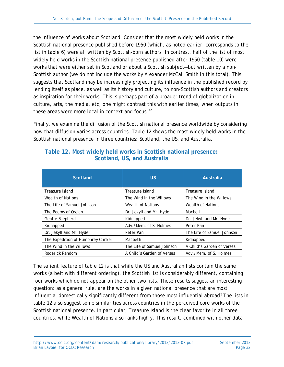the influence of works about Scotland. Consider that the most widely held works in the Scottish national presence published before 1950 (which, as noted earlier, corresponds to the list in table 6) were all written by Scottish-born authors. In contrast, half of the list of most widely held works in the Scottish national presence published after 1950 (table 10) were works that were either set in Scotland or about a Scottish subject—but written by a non-Scottish author (we do not include the works by Alexander McCall Smith in this total). This suggests that Scotland may be increasingly projecting its influence in the published record by lending itself as place, as well as its history and culture, to non-Scottish authors and creators as inspiration for their works. This is perhaps part of a broader trend of globalization in culture, arts, the media, etc; one might contrast this with earlier times, when outputs in these areas were more local in context and focus.**[32](#page-38-22)**

Finally, we examine the diffusion of the Scottish national presence worldwide by considering how that diffusion varies across countries. Table 12 shows the most widely held works in the Scottish national presence in three countries: Scotland, the US, and Australia.

| <b>Scotland</b>                    | US.                        | <b>Australia</b>           |
|------------------------------------|----------------------------|----------------------------|
| Treasure Island                    | Treasure Island            | Treasure Island            |
| Wealth of Nations                  | The Wind in the Willows    | The Wind in the Willows    |
| The Life of Samuel Johnson         | <b>Wealth of Nations</b>   | <b>Wealth of Nations</b>   |
| The Poems of Ossian                | Dr. Jekyll and Mr. Hyde    | Macbeth                    |
| Gentle Shepherd                    | Kidnapped                  | Dr. Jekyll and Mr. Hyde    |
| Kidnapped                          | Adv./Mem. of S. Holmes     | Peter Pan                  |
| Dr. Jekyll and Mr. Hyde            | Peter Pan                  | The Life of Samuel Johnson |
| The Expedition of Humphrey Clinker | Macbeth                    | Kidnapped                  |
| The Wind in the Willows            | The Life of Samuel Johnson | A Child's Garden of Verses |
| Roderick Random                    | A Child's Garden of Verses | Adv./Mem. of S. Holmes     |

#### <span id="page-31-0"></span>**Table 12. Most widely held works in Scottish national presence: Scotland, US, and Australia**

The salient feature of table 12 is that while the US and Australian lists contain the same works (albeit with different ordering), the Scottish list is considerably different, containing four works which do not appear on the other two lists. These results suggest an interesting question: as a general rule, are the works in a given national presence that are most influential domestically significantly different from those most influential abroad? The lists in table 12 also suggest some similarities across countries in the perceived core works of the Scottish national presence. In particular, *Treasure Island* is the clear favorite in all three countries, while *Wealth of Nations* also ranks highly. This result, combined with other data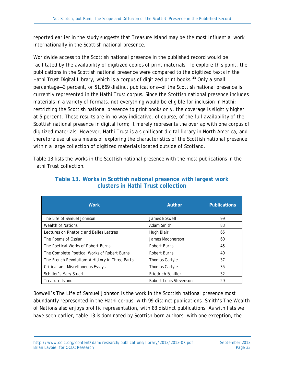reported earlier in the study suggests that *Treasure Island* may be the most influential work internationally in the Scottish national presence.

Worldwide access to the Scottish national presence in the published record would be facilitated by the availability of digitized copies of print materials. To explore this point, the publications in the Scottish national presence were compared to the digitized texts in the Hathi Trust Digital Library, which is a corpus of digitized print books.**[33](#page-38-23)** Only a small percentage—3 percent, or 51,669 distinct publications—of the Scottish national presence is currently represented in the Hathi Trust corpus. Since the Scottish national presence includes materials in a variety of formats, not everything would be eligible for inclusion in Hathi; restricting the Scottish national presence to print books only, the coverage is slightly higher at 5 percent. These results are in no way indicative, of course, of the full availability of the Scottish national presence in digital form; it merely represents the overlap with one corpus of digitized materials. However, Hathi Trust is a significant digital library in North America, and therefore useful as a means of exploring the characteristics of the Scottish national presence within a large collection of digitized materials located outside of Scotland.

<span id="page-32-0"></span>Table 13 lists the works in the Scottish national presence with the most publications in the Hathi Trust collection.

| <b>Work</b>                                     | <b>Author</b>          | <b>Publications</b> |
|-------------------------------------------------|------------------------|---------------------|
| The Life of Samuel Johnson                      | James Boswell          | 99                  |
| <b>Wealth of Nations</b>                        | Adam Smith             | 83                  |
| Lectures on Rhetoric and Belles Lettres         | Hugh Blair             | 65                  |
| The Poems of Ossian                             | James Macpherson       | 60                  |
| The Poetical Works of Robert Burns              | Robert Burns           | 45                  |
| The Complete Poetical Works of Robert Burns     | Robert Burns           | 40                  |
| The French Revolution: A History in Three Parts | Thomas Carlyle         | 37                  |
| <b>Critical and Miscellaneous Essays</b>        | Thomas Carlyle         | 35                  |
| Schiller's Mary Stuart                          | Friedrich Schiller     | 32                  |
| Treasure Island                                 | Robert Louis Stevenson | 29                  |

**Table 13. Works in Scottish national presence with largest work clusters in Hathi Trust collection**

Boswell's *The Life of Samuel Johnson* is the work in the Scottish national presence most abundantly represented in the Hathi corpus, with 99 distinct publications. Smith's *The Wealth of Nations* also enjoys prolific representation, with 83 distinct publications. As with lists we have seen earlier, table 13 is dominated by Scottish-born authors—with one exception, the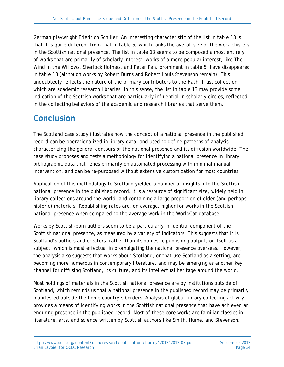German playwright Friedrich Schiller. An interesting characteristic of the list in table 13 is that it is quite different from that in table 5, which ranks the overall size of the work clusters in the Scottish national presence. The list in table 13 seems to be composed almost entirely of works that are primarily of scholarly interest; works of a more popular interest, like *The Wind in the Willows, Sherlock Holmes*, and *Peter Pan*, prominent in table 5, have disappeared in table 13 (although works by Robert Burns and Robert Louis Stevenson remain). This undoubtedly reflects the nature of the primary contributors to the Hathi Trust collection, which are academic research libraries. In this sense, the list in table 13 may provide some indication of the Scottish works that are particularly influential in scholarly circles, reflected in the collecting behaviors of the academic and research libraries that serve them.

## <span id="page-33-0"></span>**Conclusion**

The Scotland case study illustrates how the concept of a national presence in the published record can be operationalized in library data, and used to define patterns of analysis characterizing the general contours of the national presence and its diffusion worldwide. The case study proposes and tests a methodology for identifying a national presence in library bibliographic data that relies primarily on automated processing with minimal manual intervention, and can be re-purposed without extensive customization for most countries.

Application of this methodology to Scotland yielded a number of insights into the Scottish national presence in the published record. It is a resource of significant size, widely held in library collections around the world, and containing a large proportion of older (and perhaps historic) materials. Republishing rates are, on average, higher for works in the Scottish national presence when compared to the average work in the WorldCat database.

Works by Scottish-born authors seem to be a particularly influential component of the Scottish national presence, as measured by a variety of indicators. This suggests that it is Scotland's authors and creators, rather than its domestic publishing output, or itself as a subject, which is most effectual in promulgating the national presence overseas. However, the analysis also suggests that works about Scotland, or that use Scotland as a setting, are becoming more numerous in contemporary literature, and may be emerging as another key channel for diffusing Scotland, its culture, and its intellectual heritage around the world.

Most holdings of materials in the Scottish national presence are by institutions outside of Scotland, which reminds us that a national presence in the published record may be primarily manifested outside the home country's borders. Analysis of global library collecting activity provides a means of identifying works in the Scottish national presence that have achieved an enduring presence in the published record. Most of these core works are familiar classics in literature, arts, and science written by Scottish authors like Smith, Hume, and Stevenson.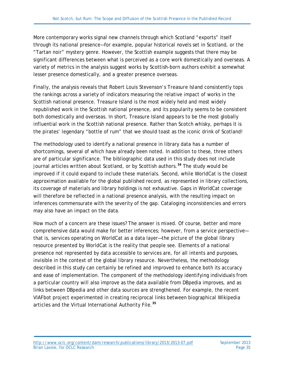More contemporary works signal new channels through which Scotland "exports" itself through its national presence—for example, popular historical novels set in Scotland, or the "Tartan noir" mystery genre. However, the Scottish example suggests that there may be significant differences between what is perceived as a core work domestically and overseas. A variety of metrics in the analysis suggest works by Scottish-born authors exhibit a somewhat lesser presence domestically, and a greater presence overseas.

Finally, the analysis reveals that Robert Louis Stevenson's *Treasure Island* consistently tops the rankings across a variety of indicators measuring the relative impact of works in the Scottish national presence. *Treasure Island* is the most widely held and most widely republished work in the Scottish national presence, and its popularity seems to be consistent both domestically and overseas. In short, *Treasure Island* appears to be the most globally influential work in the Scottish national presence. Rather than Scotch whisky, perhaps it is the pirates' legendary "bottle of rum" that we should toast as the iconic drink of Scotland!

The methodology used to identify a national presence in library data has a number of shortcomings, several of which have already been noted. In addition to these, three others are of particular significance. The bibliographic data used in this study does not include journal articles written about Scotland, or by Scottish authors.**[34](#page-38-24)** The study would be improved if it could expand to include these materials. Second, while WorldCat is the closest approximation available for the global published record, as represented in library collections, its coverage of materials and library holdings is not exhaustive. Gaps in WorldCat coverage will therefore be reflected in a national presence analysis, with the resulting impact on inferences commensurate with the severity of the gap. Cataloging inconsistencies and errors may also have an impact on the data.

How much of a concern are these issues? The answer is mixed. Of course, better and more comprehensive data would make for better inferences; however, from a service perspective that is, services operating on WorldCat as a data layer—the picture of the global library resource presented by WorldCat is the reality that people see. Elements of a national presence not represented by data accessible to services are, for all intents and purposes, invisible in the context of the global library resource. Nevertheless, the methodology described in this study can certainly be refined and improved to enhance both its accuracy and ease of implementation. The component of the methodology identifying individuals from a particular country will also improve as the data available from DBpedia improves, and as links between DBpedia and other data sources are strengthened. For example, the recent VIAFbot project experimented in creating reciprocal links between biographical Wikipedia articles and the Virtual International Authority File.**[35](#page-38-25)**

<http://www.oclc.org/content/dam/research/publications/library/2013/2013-07.pdf> September 2013<br>Brian Lavoie, for OCLC Research Brian Lavoie, for OCLC Research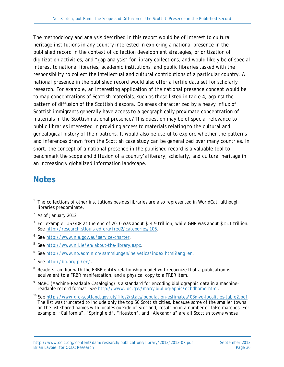The methodology and analysis described in this report would be of interest to cultural heritage institutions in any country interested in exploring a national presence in the published record in the context of collection development strategies, prioritization of digitization activities, and "gap analysis" for library collections, and would likely be of special interest to national libraries, academic institutions, and public libraries tasked with the responsibility to collect the intellectual and cultural contributions of a particular country. A national presence in the published record would also offer a fertile data set for scholarly research. For example, an interesting application of the national presence concept would be to map concentrations of Scottish materials, such as those listed in table 4, against the pattern of diffusion of the Scottish diaspora. Do areas characterized by a heavy influx of Scottish immigrants generally have access to a geographically proximate concentration of materials in the Scottish national presence? This question may be of special relevance to public libraries interested in providing access to materials relating to the cultural and genealogical history of their patrons. It would also be useful to explore whether the patterns and inferences drawn from the Scottish case study can be generalized over many countries. In short, the concept of a national presence in the published record is a valuable tool to benchmark the scope and diffusion of a country's literary, scholarly, and cultural heritage in an increasingly globalized information landscape.

### **Notes**

- <span id="page-35-0"></span> $<sup>1</sup>$  The collections of other institutions besides libraries are also represented in WorldCat, although</sup> libraries predominate.
- <span id="page-35-1"></span><sup>2</sup> As of January 2012
- <sup>3</sup> For example, US GDP at the end of 2010 was about \$14.9 trillion, while GNP was about \$15.1 trillion. See [http://research.stlouisfed.org/fred2/categories/106.](http://research.stlouisfed.org/fred2/categories/106)
- <sup>4</sup> See [http://www.nla.gov.au/service-charter.](http://www.nla.gov.au/service-charter)
- <sup>5</sup> See [http://www.nli.ie/en/about-the-library.aspx.](http://www.nli.ie/en/about-the-library.aspx)
- <sup>6</sup> See [http://www.nb.admin.ch/sammlungen/helvetica/index.html?lang=en.](http://www.nb.admin.ch/sammlungen/helvetica/index.html?lang=en)
- <sup>7</sup> See [http://bn.org.pl/en/.](http://bn.org.pl/en/)
- <sup>8</sup> Readers familiar with the FRBR entity relationship model will recognize that a publication is equivalent to a FRBR manifestation, and a physical copy to a FRBR item.
- $9$  MARC (Machine-Readable Cataloging) is a standard for encoding bibliographic data in a machinereadable record format. See [http://www.loc.gov/marc/bibliographic/ecbdhome.html.](http://www.loc.gov/marc/bibliographic/ecbdhome.html)
- <sup>10</sup> See [http://www.gro-scotland.gov.uk/files2/stats/population-estimates/08mye-localities-table2.pdf.](http://www.gro-scotland.gov.uk/files2/stats/population-estimates/08mye-localities-table2.pdf) The list was truncated to include only the top 50 Scottish cities, because some of the smaller towns on the list shared names with locales outside of Scotland, resulting in a number of false matches. For example, "California", "Springfield", "Houston", and "Alexandria" are all Scottish towns whose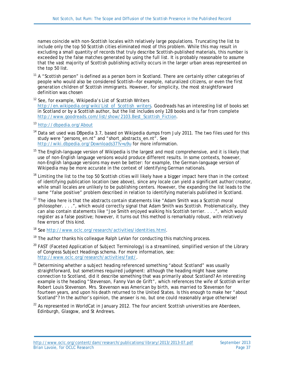names coincide with non-Scottish locales with relatively large populations. Truncating the list to include only the top 50 Scottish cities eliminated most of this problem. While this may result in excluding a small quantity of records that truly describe Scottish-published materials, this number is exceeded by the false matches generated by using the full list. It is probably reasonable to assume that the vast majority of Scottish publishing activity occurs in the larger urban areas represented on the top 50 list.

- $11$  A "Scottish person" is defined as a person born in Scotland. There are certainly other categories of people who would also be considered Scottish—for example, naturalized citizens, or even the first generation children of Scottish immigrants. However, for simplicity, the most straightforward definition was chosen
- <sup>12</sup> See, for example, Wikipedia's List of Scottish Writers [http://en.wikipedia.org/wiki/List\\_of\\_Scottish\\_writers.](http://en.wikipedia.org/wiki/List_of_Scottish_writers) Goodreads has an interesting list of books set in Scotland or by a Scottish author, but the list includes only 128 books and is far from complete [http://www.goodreads.com/list/show/2103.Best\\_Scottish\\_Fiction.](http://www.goodreads.com/list/show/2103.Best_Scottish_Fiction)
- <sup>13</sup> <http://dbpedia.org/About>
- <sup>14</sup> Data set used was DBpedia 3.7, based on Wikipedia dumps from July 2011. The two files used for this study were "persons\_en.nt" and "short\_abstracts\_en.nt". See <http://wiki.dbpedia.org/Downloads37?v=u9u> for more information.
- <sup>15</sup> The English-language version of Wikipedia is the largest and most comprehensive, and it is likely that use of non-English language versions would produce different results. In some contexts, however, non-English language versions may even be better: for example, the German-language version of Wikipedia may be more accurate in the context of identifying German nationals.
- <sup>16</sup> Limiting the list to the top 50 Scottish cities will likely have a bigger impact here than in the context of identifying publication location (see above), since any locale can yield a significant author/creator, while small locales are unlikely to be publishing centers. However, the expanding the list leads to the same "false positive" problem described in relation to identifying materials published in Scotland.
- $17$  The idea here is that the abstracts contain statements like "Adam Smith was a Scottish moral philosopher. . . .", which would correctly signal that Adam Smith was Scottish. Problematically, they can also contain statements like "Joe Smith enjoyed walking his Scottish terrier. . . .", which would register as a false positive; however, it turns out this method is remarkably robust, with relatively few errors of this kind.
- <span id="page-36-0"></span><sup>18</sup> See [http://www.oclc.org/research/activities/identities.html.](http://www.oclc.org/research/activities/identities.html)
- $19$  The author thanks his colleague Ralph LeVan for conducting this matching process.
- $20$  FAST (Faceted Application of Subject Terminology) is a streamlined, simplified version of the Library of Congress Subject Headings schema. For more information, see: [http://www.oclc.org/research/activities/fast/.](http://www.oclc.org/research/activities/fast/)
- $21$  Determining whether a subject heading referenced something "about Scotland" was usually straightforward, but sometimes required judgment: although the heading might have some connection to Scotland, did it describe something that was primarily about Scotland? An interesting example is the heading "Stevenson, Fanny Van de Grift", which references the wife of Scottish writer Robert Louis Stevenson. Mrs. Stevenson was American by birth, was married to Stevenson for fourteen years, and upon his death returned to the United States. Is this enough to make her "about Scotland"? In the author's opinion, the answer is no, but one could reasonably argue otherwise!
- $22$  As represented in WorldCat in January 2012. The four ancient Scottish universities are Aberdeen, Edinburgh, Glasgow, and St Andrews.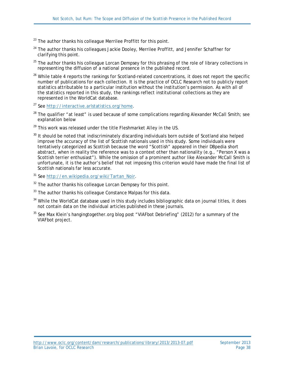- $23$  The author thanks his colleague Merrilee Proffitt for this point.
- $24$  The author thanks his colleagues Jackie Dooley, Merrilee Proffitt, and Jennifer Schaffner for clarifying this point.
- $25$  The author thanks his colleague Lorcan Dempsey for this phrasing of the role of library collections in representing the diffusion of a national presence in the published record.
- <sup>26</sup> While table 4 reports the rankings for Scotland-related concentrations, it does not report the specific number of publications for each collection. It is the practice of OCLC Research not to publicly report statistics attributable to a particular institution without the institution's permission. As with all of the statistics reported in this study, the rankings reflect institutional collections as they are represented in the WorldCat database.
- <sup>27</sup> See [http://interactive.arlstatistics.org/home.](http://interactive.arlstatistics.org/home)
- $28$  The qualifier "at least" is used because of some complications regarding Alexander McCall Smith; see explanation below
- <sup>29</sup> This work was released under the title *Fleshmarket Alley* in the US.
- <sup>30</sup> It should be noted that indiscriminately discarding individuals born outside of Scotland also helped improve the accuracy of the list of Scottish nationals used in this study. Some individuals were tentatively categorized as Scottish because the word "Scottish" appeared in their DBpedia short abstract, when in reality the reference was to a context other than nationality (e.g., "Person X was a Scottish terrier enthusiast"). While the omission of a prominent author like Alexander McCall Smith is unfortunate, it is the author's belief that not imposing this criterion would have made the final list of Scottish nationals far less accurate.
- <sup>31</sup> See [http://en.wikipedia.org/wiki/Tartan\\_Noir.](http://en.wikipedia.org/wiki/Tartan_Noir)
- $32$  The author thanks his colleague Lorcan Dempsey for this point.
- $33$  The author thanks his colleague Constance Malpas for this data.
- <sup>34</sup> While the WorldCat database used in this study includes bibliographic data on journal titles, it does not contain data on the individual articles published in these journals.
- <span id="page-37-3"></span><span id="page-37-2"></span><span id="page-37-1"></span><span id="page-37-0"></span> $35$  See Max Klein's hangingtogether.org blog post "VIAFbot Debriefing" (2012) for a summary of the VIAFbot project.